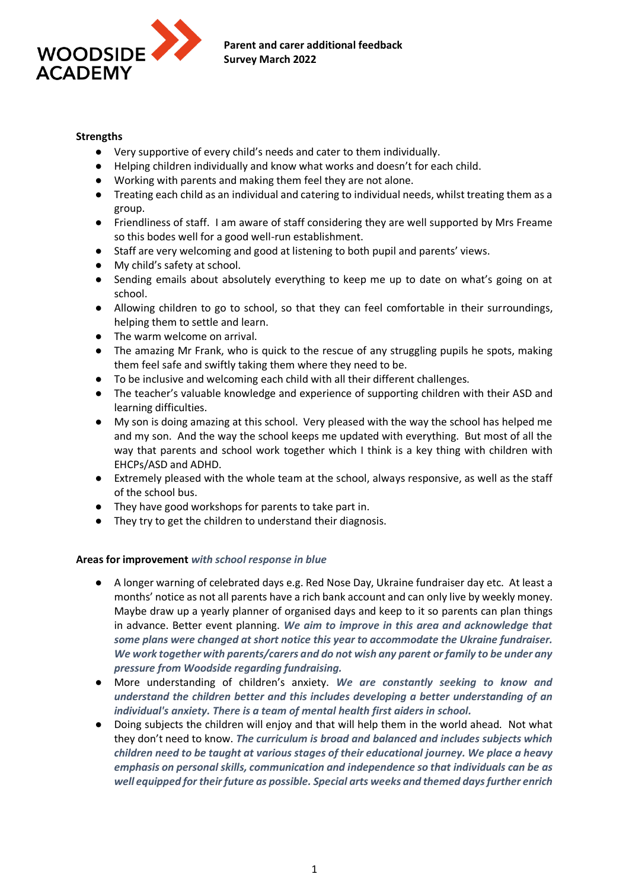

## **Strengths**

- Very supportive of every child's needs and cater to them individually.
- Helping children individually and know what works and doesn't for each child.
- Working with parents and making them feel they are not alone.
- Treating each child as an individual and catering to individual needs, whilst treating them as a group.
- Friendliness of staff. I am aware of staff considering they are well supported by Mrs Freame so this bodes well for a good well-run establishment.
- Staff are very welcoming and good at listening to both pupil and parents' views.
- My child's safety at school.
- Sending emails about absolutely everything to keep me up to date on what's going on at school.
- Allowing children to go to school, so that they can feel comfortable in their surroundings, helping them to settle and learn.
- The warm welcome on arrival.
- The amazing Mr Frank, who is quick to the rescue of any struggling pupils he spots, making them feel safe and swiftly taking them where they need to be.
- To be inclusive and welcoming each child with all their different challenges.
- The teacher's valuable knowledge and experience of supporting children with their ASD and learning difficulties.
- My son is doing amazing at this school. Very pleased with the way the school has helped me and my son. And the way the school keeps me updated with everything. But most of all the way that parents and school work together which I think is a key thing with children with EHCPs/ASD and ADHD.
- Extremely pleased with the whole team at the school, always responsive, as well as the staff of the school bus.
- They have good workshops for parents to take part in.
- They try to get the children to understand their diagnosis.

## **Areas for improvement** *with school response in blue*

- A longer warning of celebrated days e.g. Red Nose Day, Ukraine fundraiser day etc. At least a months' notice as not all parents have a rich bank account and can only live by weekly money. Maybe draw up a yearly planner of organised days and keep to it so parents can plan things in advance. Better event planning. *We aim to improve in this area and acknowledge that some plans were changed at short notice this year to accommodate the Ukraine fundraiser. We work together with parents/carers and do not wish any parent or family to be under any pressure from Woodside regarding fundraising.*
- More understanding of children's anxiety. *We are constantly seeking to know and understand the children better and this includes developing a better understanding of an individual's anxiety. There is a team of mental health first aiders in school.*
- Doing subjects the children will enjoy and that will help them in the world ahead. Not what they don't need to know. *The curriculum is broad and balanced and includes subjects which children need to be taught at various stages of their educational journey. We place a heavy emphasis on personal skills, communication and independence so that individuals can be as well equipped for their future as possible. Special arts weeks and themed days further enrich*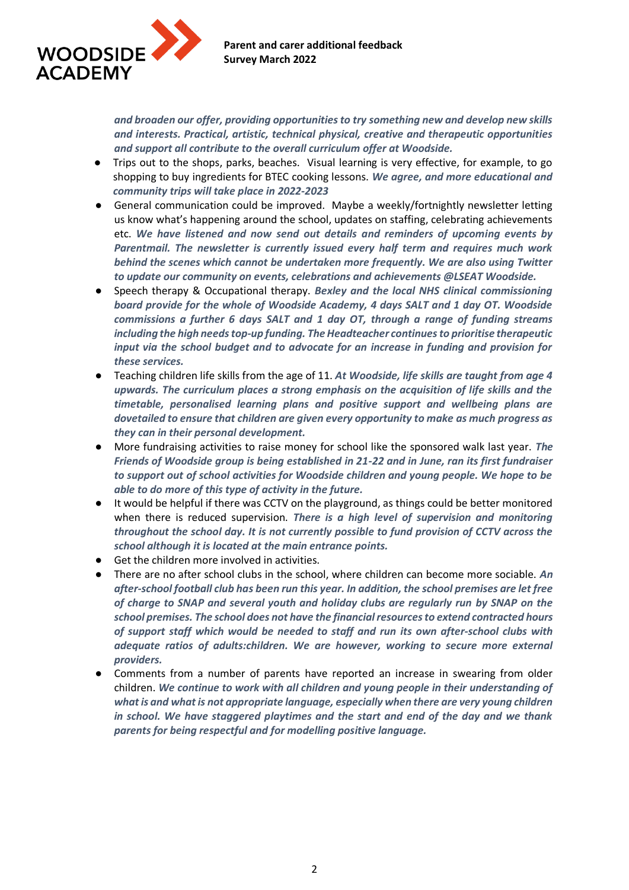

*and broaden our offer, providing opportunities to try something new and develop new skills and interests. Practical, artistic, technical physical, creative and therapeutic opportunities and support all contribute to the overall curriculum offer at Woodside.*

- Trips out to the shops, parks, beaches. Visual learning is very effective, for example, to go shopping to buy ingredients for BTEC cooking lessons. *We agree, and more educational and community trips will take place in 2022-2023*
- General communication could be improved. Maybe a weekly/fortnightly newsletter letting us know what's happening around the school, updates on staffing, celebrating achievements etc. *We have listened and now send out details and reminders of upcoming events by Parentmail. The newsletter is currently issued every half term and requires much work behind the scenes which cannot be undertaken more frequently. We are also using Twitter to update our community on events, celebrations and achievements @LSEAT Woodside.*
- Speech therapy & Occupational therapy. *Bexley and the local NHS clinical commissioning board provide for the whole of Woodside Academy, 4 days SALT and 1 day OT. Woodside commissions a further 6 days SALT and 1 day OT, through a range of funding streams including the high needs top-up funding. The Headteacher continues to prioritise therapeutic input via the school budget and to advocate for an increase in funding and provision for these services.*
- Teaching children life skills from the age of 11. *At Woodside, life skills are taught from age 4 upwards. The curriculum places a strong emphasis on the acquisition of life skills and the timetable, personalised learning plans and positive support and wellbeing plans are dovetailed to ensure that children are given every opportunity to make as much progress as they can in their personal development.*
- More fundraising activities to raise money for school like the sponsored walk last year. *The Friends of Woodside group is being established in 21-22 and in June, ran its first fundraiser to support out of school activities for Woodside children and young people. We hope to be able to do more of this type of activity in the future.*
- It would be helpful if there was CCTV on the playground, as things could be better monitored when there is reduced supervision. *There is a high level of supervision and monitoring throughout the school day. It is not currently possible to fund provision of CCTV across the school although it is located at the main entrance points.*
- Get the children more involved in activities.
- There are no after school clubs in the school, where children can become more sociable. *An after-school football club has been run this year. In addition, the school premises are let free of charge to SNAP and several youth and holiday clubs are regularly run by SNAP on the school premises. The school does not have the financial resources to extend contracted hours of support staff which would be needed to staff and run its own after-school clubs with adequate ratios of adults:children. We are however, working to secure more external providers.*
- Comments from a number of parents have reported an increase in swearing from older children. *We continue to work with all children and young people in their understanding of what is and what is not appropriate language, especially when there are very young children in school. We have staggered playtimes and the start and end of the day and we thank parents for being respectful and for modelling positive language.*